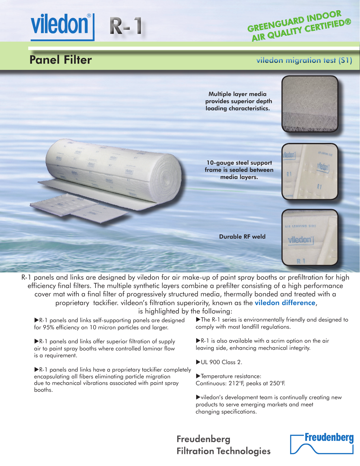GREENGUARD INDOOR AIR QUALITY CERTIFIED®

# Panel Filter

Viledon<sup>®</sup> R-1

#### viledon migration test (S1)



R-1 panels and links are designed by viledon for air make-up of paint spray booths or prefiltration for high efficiency final filters. The multiple synthetic layers combine a prefilter consisting of a high performance cover mat with a final filter of progressively structured media, thermally bonded and treated with a proprietary tackifier. vildeon's filtration superiority, known as the **viledon difference**, is highlighted by the following:

R-1 panels and links self-supporting panels are designed for 95% efficiency on 10 micron particles and larger.

R-1 panels and links offer superior filtration of supply air to paint spray booths where controlled laminar flow is a requirement.

**R-1** panels and links have a proprietary tackifier completely encapsulating all fibers eliminating particle migration due to mechanical vibrations associated with paint spray booths.

The R-1 series is environmentally friendly and designed to comply with most landfill regulations.

R-1 is also available with a scrim option on the air leaving side, enhancing mechanical integrity.

- UL 900 Class 2.
- Temperature resistance: Continuous: 212°F, peaks at 250°F.

viledon's development team is continually creating new products to serve emerging markets and meet changing specifications.

# Freudenberg **Filtration Technologies**